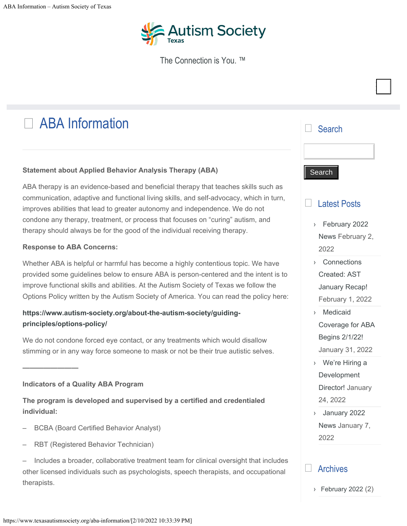

The Connection is You. ™

# □ ABA Information

### **Statement about Applied Behavior Analysis Therapy (ABA)**

ABA therapy is an evidence-based and beneficial therapy that teaches skills such as communication, adaptive and functional living skills, and self-advocacy, which in turn, improves abilities that lead to greater autonomy and independence. We do not condone any therapy, treatment, or process that focuses on "curing" autism, and therapy should always be for the good of the individual receiving therapy.

#### **Response to ABA Concerns:**

Whether ABA is helpful or harmful has become a highly contentious topic. We have provided some guidelines below to ensure ABA is person-centered and the intent is to improve functional skills and abilities. At the Autism Society of Texas we follow the Options Policy written by the Autism Society of America. You can read the policy here:

## **[https://www.autism-society.org/about-the-autism-society/guiding](https://www.autism-society.org/about-the-autism-society/guiding-principles/options-policy/)[principles/options-policy/](https://www.autism-society.org/about-the-autism-society/guiding-principles/options-policy/)**

We do not condone forced eye contact, or any treatments which would disallow stimming or in any way force someone to mask or not be their true autistic selves.

### **Indicators of a Quality ABA Program**

**————————**

**The program is developed and supervised by a certified and credentialed individual:**

- BCBA (Board Certified Behavior Analyst)
- RBT (Registered Behavior Technician)
- Includes a broader, collaborative treatment team for clinical oversight that includes other licensed individuals such as psychologists, speech therapists, and occupational therapists.

# $\Box$

#### **Search**

#### Latest Posts  $\Box$

- [February 2022](https://www.texasautismsociety.org/february-2022-news/) › [News](https://www.texasautismsociety.org/february-2022-news/) February 2, 2022
- [Connections](https://www.texasautismsociety.org/connections-created-ast-january-recap/) › [Created: AST](https://www.texasautismsociety.org/connections-created-ast-january-recap/) [January Recap!](https://www.texasautismsociety.org/connections-created-ast-january-recap/) February 1, 2022
- [Medicaid](https://www.texasautismsociety.org/medicaid-coverage-for-aba-begins-2-1-22/) › [Coverage for ABA](https://www.texasautismsociety.org/medicaid-coverage-for-aba-begins-2-1-22/) [Begins 2/1/22!](https://www.texasautismsociety.org/medicaid-coverage-for-aba-begins-2-1-22/) January 31, 2022
- [We're Hiring a](https://www.texasautismsociety.org/were-hiring-a-development-director/) › [Development](https://www.texasautismsociety.org/were-hiring-a-development-director/) [Director!](https://www.texasautismsociety.org/were-hiring-a-development-director/) January 24, 2022
- [January 2022](https://www.texasautismsociety.org/january-2022-news/) › [News](https://www.texasautismsociety.org/january-2022-news/) January 7, 2022

#### Archives  $\Box$

› [February 2022](https://www.texasautismsociety.org/2022/02/) (2)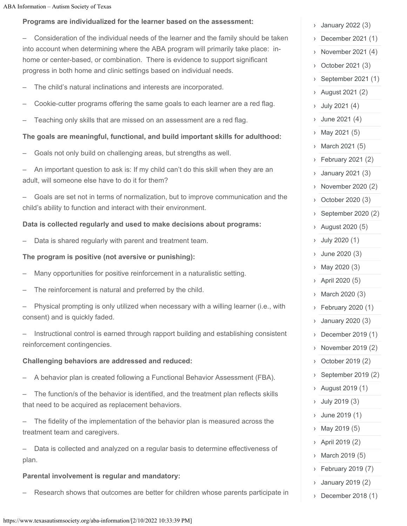### **Programs are individualized for the learner based on the assessment:**

– Consideration of the individual needs of the learner and the family should be taken into account when determining where the ABA program will primarily take place: inhome or center-based, or combination. There is evidence to support significant progress in both home and clinic settings based on individual needs.

- The child's natural inclinations and interests are incorporated.
- Cookie-cutter programs offering the same goals to each learner are a red flag.
- Teaching only skills that are missed on an assessment are a red flag.

### **The goals are meaningful, functional, and build important skills for adulthood:**

- Goals not only build on challenging areas, but strengths as well.
- An important question to ask is: If my child can't do this skill when they are an adult, will someone else have to do it for them?
- Goals are set not in terms of normalization, but to improve communication and the child's ability to function and interact with their environment.

#### **Data is collected regularly and used to make decisions about programs:**

– Data is shared regularly with parent and treatment team.

#### **The program is positive (not aversive or punishing):**

- Many opportunities for positive reinforcement in a naturalistic setting.
- The reinforcement is natural and preferred by the child.
- Physical prompting is only utilized when necessary with a willing learner (i.e., with consent) and is quickly faded.

– Instructional control is earned through rapport building and establishing consistent reinforcement contingencies.

### **Challenging behaviors are addressed and reduced:**

- A behavior plan is created following a Functional Behavior Assessment (FBA).
- The function/s of the behavior is identified, and the treatment plan reflects skills that need to be acquired as replacement behaviors.

The fidelity of the implementation of the behavior plan is measured across the treatment team and caregivers.

– Data is collected and analyzed on a regular basis to determine effectiveness of plan.

#### **Parental involvement is regular and mandatory:**

– Research shows that outcomes are better for children whose parents participate in

| >             | January 2022 (J <i>)</i> |
|---------------|--------------------------|
| $\mathcal{E}$ | December 2021 (1)        |
| >             | November 2021 (4)        |
| >             | October 2021 (3)         |
| >             | September 2021 (1)       |
| >             | August 2021 (2)          |
| >             | July 2021 (4)            |
| >             | June 2021 (4)            |
| >             | May 2021 (5)             |
| $\mathcal{E}$ | March 2021 (5)           |
| >             | February 2021 (2)        |
| >             | January 2021 (3)         |
| $\mathcal{E}$ | November 2020 (2)        |
| >             | October 2020 (3)         |
| >             | September 2020 (2)       |
| >             | August 2020 (5)          |
| >             | July 2020 (1)            |
| >             | June 2020 (3)            |
| >             | May 2020 (3)             |
| >             | April 2020 (5)           |
| >             | March 2020 (3)           |
| >             | February 2020 (1)        |
| >             | January 2020 (3)         |
| >             | December 2019 (1)        |
| >             | November 2019 (2)        |
| >             | October 2019 (2)         |
| $\mathcal Y$  | September 2019 (2)       |
| >             | August 2019 (1)          |
| >             | July 2019 (3)            |
| >             | June 2019 (1)            |
| >             | May 2019 (5)             |
| >             | April 2019 (2)           |
| >             | March 2019 (5)           |
| >             | February 2019 (7)        |
| >             | January 2019 (2)         |
| >             | December 2018 (1)        |

 $J_{2}$  $J_{2}$  $J_{2}$  $J_{2}$  $J_{2}$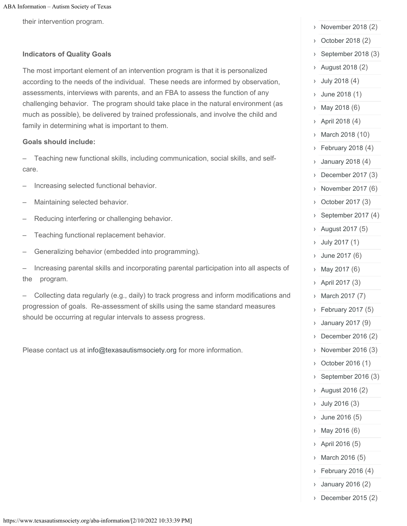their intervention program.

#### **Indicators of Quality Goals**

The most important element of an intervention program is that it is personalized according to the needs of the individual. These needs are informed by observation, assessments, interviews with parents, and an FBA to assess the function of any challenging behavior. The program should take place in the natural environment (as much as possible), be delivered by trained professionals, and involve the child and family in determining what is important to them.

#### **Goals should include:**

– Teaching new functional skills, including communication, social skills, and selfcare.

- Increasing selected functional behavior.
- Maintaining selected behavior.
- Reducing interfering or challenging behavior.
- Teaching functional replacement behavior.
- Generalizing behavior (embedded into programming).

– Increasing parental skills and incorporating parental participation into all aspects of the program.

– Collecting data regularly (e.g., daily) to track progress and inform modifications and progression of goals. Re-assessment of skills using the same standard measures should be occurring at regular intervals to assess progress.

Please contact us at [info@texasautismsociety.org](mailto:info@texasautismsociety.org) for more information.

| >                            | November 2018 (2)  |
|------------------------------|--------------------|
| >                            | October 2018 (2)   |
| >                            | September 2018 (3) |
| >                            | August 2018 (2)    |
| >                            | July 2018 (4)      |
| >                            | June 2018 (1)      |
| $\mathcal Y$                 | May 2018 (6)       |
| >                            | April 2018 (4)     |
| $\mathcal{E}$                | March 2018 (10)    |
| >                            | February 2018 (4)  |
| >                            | January 2018 (4)   |
| >                            | December 2017 (3)  |
| $\left\langle \right\rangle$ | November 2017 (6)  |
| >                            | October 2017 (3)   |
| $\mathcal Y$                 | September 2017 (4) |
| >                            | August 2017 (5)    |
| >                            | July 2017 (1)      |
| >                            | June 2017 (6)      |
| >                            | May 2017 (6)       |
| >                            | April 2017 (3)     |
| ⟩                            | March 2017 (7)     |
| $\mathcal{E}$                | February 2017 (5)  |
| >                            | January 2017 (9)   |
| >                            | December 2016 (2)  |
| >                            | November 2016 (3)  |
| >                            | October 2016 (1)   |
| >                            | September 2016 (3) |
| >                            | August 2016 (2)    |
| >                            | July 2016 (3)      |
| >                            | June 2016 (5)      |
| >                            | May 2016 (6)       |
| >                            | April 2016 (5)     |
| >                            | March 2016 (5)     |
| >                            | February 2016 (4)  |
| >                            | January 2016 (2)   |

› [December 2015](https://www.texasautismsociety.org/2015/12/) (2)